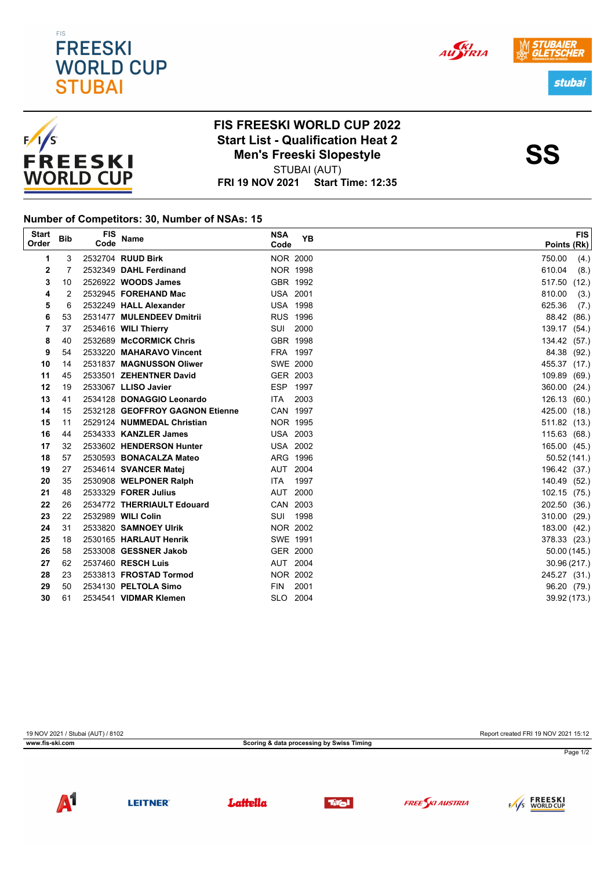





## **FIS FREESKI WORLD CUP 2022** Start List - Qualification Heat 2<br>Men's Freeski Slopestyle<br>SS STUBAI (AUT) **Men's Freeski Slopestyle**

**FRI 19 NOV 2021 Start Time: 12:35**

## **Number of Competitors: 30, Number of NSAs: 15**

| <b>Start</b><br>Order | <b>Bib</b> | <b>FIS</b><br>Code | <b>Name</b>                     | <b>NSA</b><br>Code | <b>YB</b>       | Points (Rk)     | <b>FIS</b> |
|-----------------------|------------|--------------------|---------------------------------|--------------------|-----------------|-----------------|------------|
| 1                     | 3          |                    | 2532704 RUUD Birk               |                    | <b>NOR 2000</b> | 750.00          | (4.)       |
| 2                     | 7          |                    | 2532349 DAHL Ferdinand          | <b>NOR 1998</b>    |                 | 610.04          | (8.)       |
| 3                     | 10         |                    | 2526922 WOODS James             |                    | GBR 1992        | 517.50<br>(12.) |            |
| 4                     | 2          |                    | 2532945 FOREHAND Mac            | <b>USA 2001</b>    |                 | 810.00          | (3.)       |
| 5                     | 6          |                    | 2532249 HALL Alexander          | <b>USA 1998</b>    |                 | 625.36          | (7.)       |
| 6                     | 53         |                    | 2531477 MULENDEEV Dmitrii       | <b>RUS 1996</b>    |                 | 88.42 (86.)     |            |
| 7                     | 37         |                    | 2534616 WILI Thierry            | SUI 2000           |                 | 139.17 (54.)    |            |
| 8                     | 40         |                    | 2532689 McCORMICK Chris         | GBR 1998           |                 | 134.42 (57.)    |            |
| 9                     | 54         |                    | 2533220 MAHARAVO Vincent        | FRA 1997           |                 | 84.38 (92.)     |            |
| 10                    | 14         |                    | 2531837 MAGNUSSON Oliwer        |                    | SWE 2000        | 455.37 (17.)    |            |
| 11                    | 45         |                    | 2533501 ZEHENTNER David         | GER 2003           |                 | 109.89 (69.)    |            |
| 12                    | 19         |                    | 2533067 LLISO Javier            | ESP 1997           |                 | 360.00 (24.)    |            |
| 13                    | 41         |                    | 2534128 DONAGGIO Leonardo       | <b>ITA</b>         | 2003            | 126.13 (60.)    |            |
| 14                    | 15         |                    | 2532128 GEOFFROY GAGNON Etienne | CAN 1997           |                 | 425.00 (18.)    |            |
| 15                    | 11         |                    | 2529124 NUMMEDAL Christian      |                    | NOR 1995        | 511.82 (13.)    |            |
| 16                    | 44         |                    | 2534333 KANZLER James           | <b>USA 2003</b>    |                 | 115.63 (68.)    |            |
| 17                    | 32         |                    | 2533602 HENDERSON Hunter        |                    | <b>USA 2002</b> | 165.00 (45.)    |            |
| 18                    | 57         |                    | 2530593 BONACALZA Mateo         | ARG 1996           |                 | 50.52(141.)     |            |
| 19                    | 27         |                    | 2534614 SVANCER Matej           | AUT 2004           |                 | 196.42 (37.)    |            |
| 20                    | 35         |                    | 2530908 WELPONER Ralph          | <b>ITA</b>         | 1997            | 140.49 (52.)    |            |
| 21                    | 48         |                    | 2533329 FORER Julius            | AUT                | 2000            | 102.15 (75.)    |            |
| 22                    | 26         |                    | 2534772 THERRIAULT Edouard      | CAN 2003           |                 | 202.50 (36.)    |            |
| 23                    | 22         |                    | 2532989 WILI Colin              | SUI 1998           |                 | 310.00 (29.)    |            |
| 24                    | 31         |                    | 2533820 SAMNOEY Ulrik           | <b>NOR 2002</b>    |                 | 183.00 (42.)    |            |
| 25                    | 18         |                    | 2530165 HARLAUT Henrik          | SWE 1991           |                 | 378.33 (23.)    |            |
| 26                    | 58         |                    | 2533008 GESSNER Jakob           | GER 2000           |                 | 50.00 (145.)    |            |
| 27                    | 62         |                    | 2537460 RESCH Luis              | AUT 2004           |                 | 30.96(217.)     |            |
| 28                    | 23         |                    | 2533813 FROSTAD Tormod          |                    | NOR 2002        | 245.27 (31.)    |            |
| 29                    | 50         |                    | 2534130 PELTOLA Simo            | <b>FIN</b>         | 2001            | 96.20 (79.)     |            |
| 30                    | 61         |                    | 2534541 VIDMAR Klemen           | SLO 2004           |                 | 39.92 (173.)    |            |

19 NOV 2021 / Stubai (AUT) / 8102 Report created FRI 19 NOV 2021 15:12 **www.fis-ski.com Scoring & data processing by Swiss Timing** Page 1/2











AUSTRIA